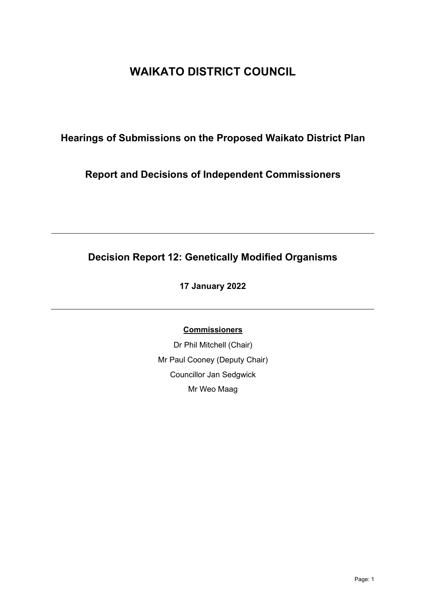# **WAIKATO DISTRICT COUNCIL**

## **Hearings of Submissions on the Proposed Waikato District Plan**

### **Report and Decisions of Independent Commissioners**

# **Decision Report 12: Genetically Modified Organisms**

### **17 January 2022**

### **Commissioners**

Dr Phil Mitchell (Chair) Mr Paul Cooney (Deputy Chair) Councillor Jan Sedgwick Mr Weo Maag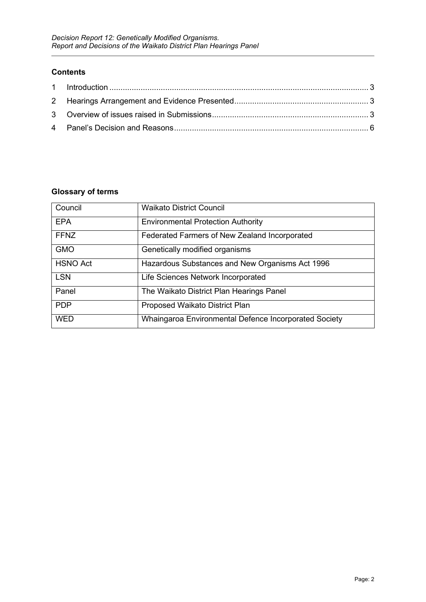#### **Contents**

### **Glossary of terms**

| Council         | <b>Waikato District Council</b>                       |
|-----------------|-------------------------------------------------------|
| <b>EPA</b>      | <b>Environmental Protection Authority</b>             |
| <b>FFNZ</b>     | Federated Farmers of New Zealand Incorporated         |
| <b>GMO</b>      | Genetically modified organisms                        |
| <b>HSNO Act</b> | Hazardous Substances and New Organisms Act 1996       |
| <b>LSN</b>      | Life Sciences Network Incorporated                    |
| Panel           | The Waikato District Plan Hearings Panel              |
| <b>PDP</b>      | Proposed Waikato District Plan                        |
| <b>WED</b>      | Whaingaroa Environmental Defence Incorporated Society |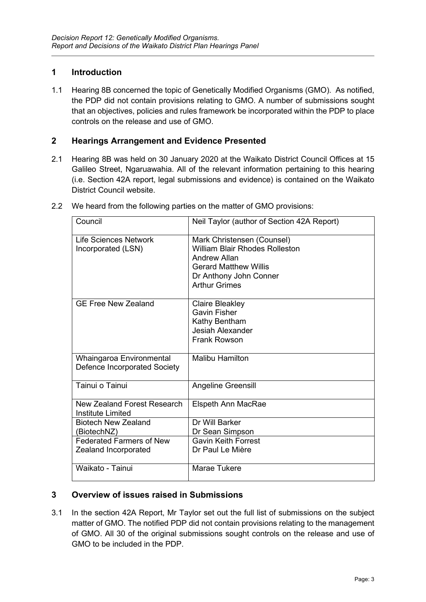### <span id="page-2-0"></span>**1 Introduction**

1.1 Hearing 8B concerned the topic of Genetically Modified Organisms (GMO). As notified, the PDP did not contain provisions relating to GMO. A number of submissions sought that an objectives, policies and rules framework be incorporated within the PDP to place controls on the release and use of GMO.

### <span id="page-2-1"></span>**2 Hearings Arrangement and Evidence Presented**

2.1 Hearing 8B was held on 30 January 2020 at the Waikato District Council Offices at 15 Galileo Street, Ngaruawahia. All of the relevant information pertaining to this hearing (i.e. Section 42A report, legal submissions and evidence) is contained on the Waikato District Council website.

| Council                                                  | Neil Taylor (author of Section 42A Report)                                                                                                                            |
|----------------------------------------------------------|-----------------------------------------------------------------------------------------------------------------------------------------------------------------------|
| Life Sciences Network<br>Incorporated (LSN)              | Mark Christensen (Counsel)<br><b>William Blair Rhodes Rolleston</b><br>Andrew Allan<br><b>Gerard Matthew Willis</b><br>Dr Anthony John Conner<br><b>Arthur Grimes</b> |
| <b>GE Free New Zealand</b>                               | Claire Bleakley<br><b>Gavin Fisher</b><br>Kathy Bentham<br><b>Jesiah Alexander</b><br><b>Frank Rowson</b>                                                             |
| Whaingaroa Environmental<br>Defence Incorporated Society | <b>Malibu Hamilton</b>                                                                                                                                                |
| Tainui o Tainui                                          | Angeline Greensill                                                                                                                                                    |
| New Zealand Forest Research<br>Institute Limited         | Elspeth Ann MacRae                                                                                                                                                    |
| <b>Biotech New Zealand</b><br>(BiotechNZ)                | Dr Will Barker<br>Dr Sean Simpson                                                                                                                                     |
| <b>Federated Farmers of New</b><br>Zealand Incorporated  | <b>Gavin Keith Forrest</b><br>Dr Paul Le Mière                                                                                                                        |
| Waikato - Tainui                                         | Marae Tukere                                                                                                                                                          |

2.2 We heard from the following parties on the matter of GMO provisions:

#### <span id="page-2-2"></span>**3 Overview of issues raised in Submissions**

3.1 In the section 42A Report, Mr Taylor set out the full list of submissions on the subject matter of GMO. The notified PDP did not contain provisions relating to the management of GMO. All 30 of the original submissions sought controls on the release and use of GMO to be included in the PDP.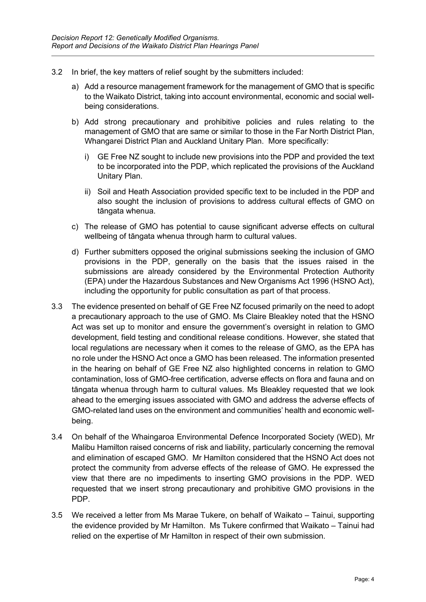- 3.2 In brief, the key matters of relief sought by the submitters included:
	- a) Add a resource management framework for the management of GMO that is specific to the Waikato District, taking into account environmental, economic and social wellbeing considerations.
	- b) Add strong precautionary and prohibitive policies and rules relating to the management of GMO that are same or similar to those in the Far North District Plan, Whangarei District Plan and Auckland Unitary Plan. More specifically:
		- i) GE Free NZ sought to include new provisions into the PDP and provided the text to be incorporated into the PDP, which replicated the provisions of the Auckland Unitary Plan.
		- ii) Soil and Heath Association provided specific text to be included in the PDP and also sought the inclusion of provisions to address cultural effects of GMO on tāngata whenua.
	- c) The release of GMO has potential to cause significant adverse effects on cultural wellbeing of tāngata whenua through harm to cultural values.
	- d) Further submitters opposed the original submissions seeking the inclusion of GMO provisions in the PDP, generally on the basis that the issues raised in the submissions are already considered by the Environmental Protection Authority (EPA) under the Hazardous Substances and New Organisms Act 1996 (HSNO Act), including the opportunity for public consultation as part of that process.
- 3.3 The evidence presented on behalf of GE Free NZ focused primarily on the need to adopt a precautionary approach to the use of GMO. Ms Claire Bleakley noted that the HSNO Act was set up to monitor and ensure the government's oversight in relation to GMO development, field testing and conditional release conditions. However, she stated that local regulations are necessary when it comes to the release of GMO, as the EPA has no role under the HSNO Act once a GMO has been released. The information presented in the hearing on behalf of GE Free NZ also highlighted concerns in relation to GMO contamination, loss of GMO-free certification, adverse effects on flora and fauna and on tāngata whenua through harm to cultural values. Ms Bleakley requested that we look ahead to the emerging issues associated with GMO and address the adverse effects of GMO-related land uses on the environment and communities' health and economic wellbeing.
- 3.4 On behalf of the Whaingaroa Environmental Defence Incorporated Society (WED), Mr Malibu Hamilton raised concerns of risk and liability, particularly concerning the removal and elimination of escaped GMO. Mr Hamilton considered that the HSNO Act does not protect the community from adverse effects of the release of GMO. He expressed the view that there are no impediments to inserting GMO provisions in the PDP. WED requested that we insert strong precautionary and prohibitive GMO provisions in the PDP.
- 3.5 We received a letter from Ms Marae Tukere, on behalf of Waikato Tainui, supporting the evidence provided by Mr Hamilton. Ms Tukere confirmed that Waikato – Tainui had relied on the expertise of Mr Hamilton in respect of their own submission.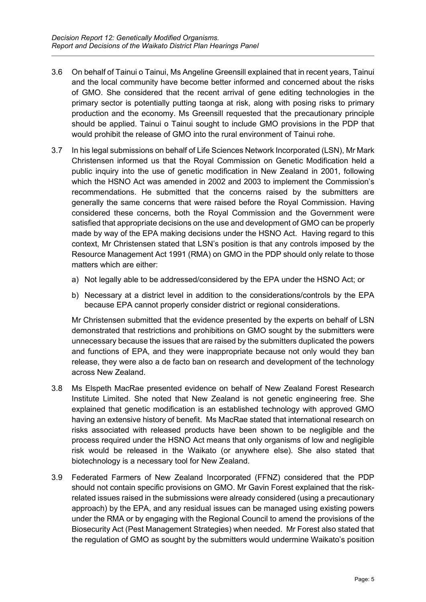- 3.6 On behalf of Tainui o Tainui, Ms Angeline Greensill explained that in recent years, Tainui and the local community have become better informed and concerned about the risks of GMO. She considered that the recent arrival of gene editing technologies in the primary sector is potentially putting taonga at risk, along with posing risks to primary production and the economy. Ms Greensill requested that the precautionary principle should be applied. Tainui o Tainui sought to include GMO provisions in the PDP that would prohibit the release of GMO into the rural environment of Tainui rohe.
- 3.7 In his legal submissions on behalf of Life Sciences Network Incorporated (LSN), Mr Mark Christensen informed us that the Royal Commission on Genetic Modification held a public inquiry into the use of genetic modification in New Zealand in 2001, following which the HSNO Act was amended in 2002 and 2003 to implement the Commission's recommendations. He submitted that the concerns raised by the submitters are generally the same concerns that were raised before the Royal Commission. Having considered these concerns, both the Royal Commission and the Government were satisfied that appropriate decisions on the use and development of GMO can be properly made by way of the EPA making decisions under the HSNO Act. Having regard to this context, Mr Christensen stated that LSN's position is that any controls imposed by the Resource Management Act 1991 (RMA) on GMO in the PDP should only relate to those matters which are either:
	- a) Not legally able to be addressed/considered by the EPA under the HSNO Act; or
	- b) Necessary at a district level in addition to the considerations/controls by the EPA because EPA cannot properly consider district or regional considerations.

Mr Christensen submitted that the evidence presented by the experts on behalf of LSN demonstrated that restrictions and prohibitions on GMO sought by the submitters were unnecessary because the issues that are raised by the submitters duplicated the powers and functions of EPA, and they were inappropriate because not only would they ban release, they were also a de facto ban on research and development of the technology across New Zealand.

- 3.8 Ms Elspeth MacRae presented evidence on behalf of New Zealand Forest Research Institute Limited. She noted that New Zealand is not genetic engineering free. She explained that genetic modification is an established technology with approved GMO having an extensive history of benefit. Ms MacRae stated that international research on risks associated with released products have been shown to be negligible and the process required under the HSNO Act means that only organisms of low and negligible risk would be released in the Waikato (or anywhere else). She also stated that biotechnology is a necessary tool for New Zealand.
- 3.9 Federated Farmers of New Zealand Incorporated (FFNZ) considered that the PDP should not contain specific provisions on GMO. Mr Gavin Forest explained that the riskrelated issues raised in the submissions were already considered (using a precautionary approach) by the EPA, and any residual issues can be managed using existing powers under the RMA or by engaging with the Regional Council to amend the provisions of the Biosecurity Act (Pest Management Strategies) when needed. Mr Forest also stated that the regulation of GMO as sought by the submitters would undermine Waikato's position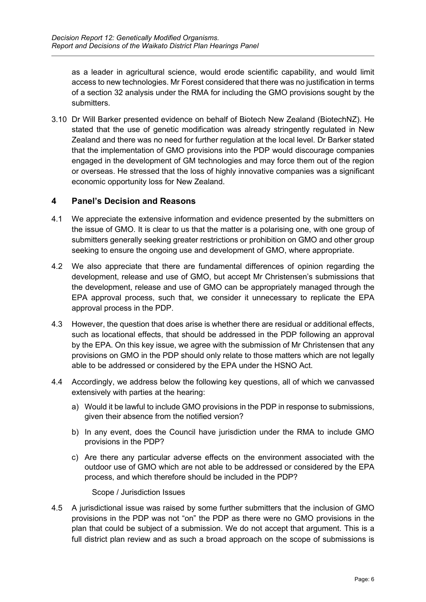as a leader in agricultural science, would erode scientific capability, and would limit access to new technologies. Mr Forest considered that there was no justification in terms of a section 32 analysis under the RMA for including the GMO provisions sought by the submitters.

3.10 Dr Will Barker presented evidence on behalf of Biotech New Zealand (BiotechNZ). He stated that the use of genetic modification was already stringently regulated in New Zealand and there was no need for further regulation at the local level. Dr Barker stated that the implementation of GMO provisions into the PDP would discourage companies engaged in the development of GM technologies and may force them out of the region or overseas. He stressed that the loss of highly innovative companies was a significant economic opportunity loss for New Zealand.

#### <span id="page-5-0"></span>**4 Panel's Decision and Reasons**

- 4.1 We appreciate the extensive information and evidence presented by the submitters on the issue of GMO. It is clear to us that the matter is a polarising one, with one group of submitters generally seeking greater restrictions or prohibition on GMO and other group seeking to ensure the ongoing use and development of GMO, where appropriate.
- 4.2 We also appreciate that there are fundamental differences of opinion regarding the development, release and use of GMO, but accept Mr Christensen's submissions that the development, release and use of GMO can be appropriately managed through the EPA approval process, such that, we consider it unnecessary to replicate the EPA approval process in the PDP.
- 4.3 However, the question that does arise is whether there are residual or additional effects, such as locational effects, that should be addressed in the PDP following an approval by the EPA. On this key issue, we agree with the submission of Mr Christensen that any provisions on GMO in the PDP should only relate to those matters which are not legally able to be addressed or considered by the EPA under the HSNO Act.
- 4.4 Accordingly, we address below the following key questions, all of which we canvassed extensively with parties at the hearing:
	- a) Would it be lawful to include GMO provisions in the PDP in response to submissions, given their absence from the notified version?
	- b) In any event, does the Council have jurisdiction under the RMA to include GMO provisions in the PDP?
	- c) Are there any particular adverse effects on the environment associated with the outdoor use of GMO which are not able to be addressed or considered by the EPA process, and which therefore should be included in the PDP?

#### Scope / Jurisdiction Issues

4.5 A jurisdictional issue was raised by some further submitters that the inclusion of GMO provisions in the PDP was not "on" the PDP as there were no GMO provisions in the plan that could be subject of a submission. We do not accept that argument. This is a full district plan review and as such a broad approach on the scope of submissions is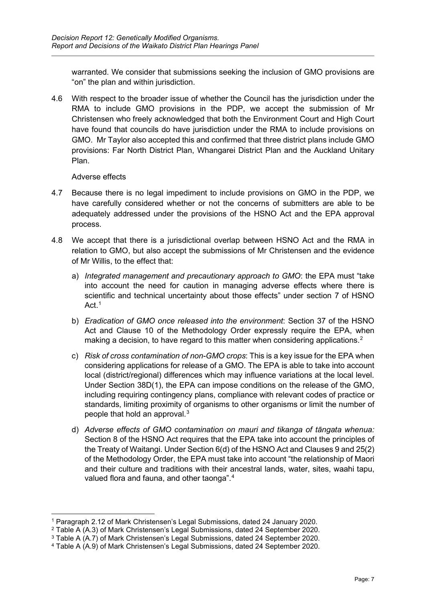warranted. We consider that submissions seeking the inclusion of GMO provisions are "on" the plan and within jurisdiction.

4.6 With respect to the broader issue of whether the Council has the jurisdiction under the RMA to include GMO provisions in the PDP, we accept the submission of Mr Christensen who freely acknowledged that both the Environment Court and High Court have found that councils do have jurisdiction under the RMA to include provisions on GMO. Mr Taylor also accepted this and confirmed that three district plans include GMO provisions: Far North District Plan, Whangarei District Plan and the Auckland Unitary Plan.

#### Adverse effects

- 4.7 Because there is no legal impediment to include provisions on GMO in the PDP, we have carefully considered whether or not the concerns of submitters are able to be adequately addressed under the provisions of the HSNO Act and the EPA approval process.
- 4.8 We accept that there is a jurisdictional overlap between HSNO Act and the RMA in relation to GMO, but also accept the submissions of Mr Christensen and the evidence of Mr Willis, to the effect that:
	- a) *Integrated management and precautionary approach to GMO*: the EPA must "take into account the need for caution in managing adverse effects where there is scientific and technical uncertainty about those effects" under section 7 of HSNO Act. $1$
	- b) *Eradication of GMO once released into the environment*: Section 37 of the HSNO Act and Clause 10 of the Methodology Order expressly require the EPA, when making a decision, to have regard to this matter when considering applications.<sup>[2](#page-6-1)</sup>
	- c) *Risk of cross contamination of non-GMO crops*: This is a key issue for the EPA when considering applications for release of a GMO. The EPA is able to take into account local (district/regional) differences which may influence variations at the local level. Under Section 38D(1), the EPA can impose conditions on the release of the GMO, including requiring contingency plans, compliance with relevant codes of practice or standards, limiting proximity of organisms to other organisms or limit the number of people that hold an approval. $^3$  $^3$
	- d) *Adverse effects of GMO contamination on mauri and tikanga of tāngata whenua:*  Section 8 of the HSNO Act requires that the EPA take into account the principles of the Treaty of Waitangi. Under Section 6(d) of the HSNO Act and Clauses 9 and 25(2) of the Methodology Order, the EPA must take into account "the relationship of Maori and their culture and traditions with their ancestral lands, water, sites, waahi tapu, valued flora and fauna, and other taonga".<sup>[4](#page-6-3)</sup>

<span id="page-6-0"></span><sup>1</sup> Paragraph 2.12 of Mark Christensen's Legal Submissions, dated 24 January 2020.

<sup>2</sup> Table A (A.3) of Mark Christensen's Legal Submissions, dated 24 September 2020.

<span id="page-6-2"></span><span id="page-6-1"></span><sup>3</sup> Table A (A.7) of Mark Christensen's Legal Submissions, dated 24 September 2020.

<span id="page-6-3"></span><sup>4</sup> Table A (A.9) of Mark Christensen's Legal Submissions, dated 24 September 2020.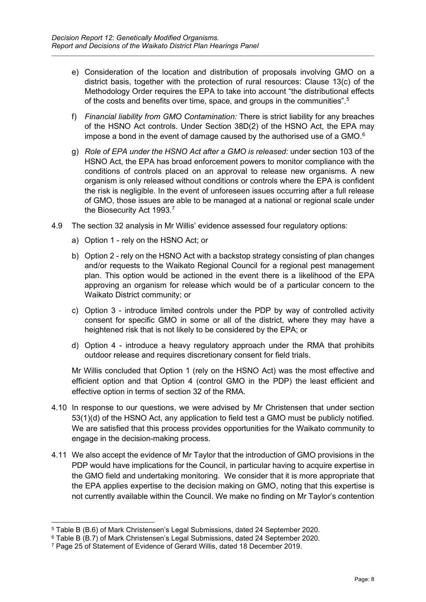- e) Consideration of the location and distribution of proposals involving GMO on a district basis, together with the protection of rural resources: Clause 13(c) of the Methodology Order requires the EPA to take into account "the distributional effects of the costs and benefits over time, space, and groups in the communities".<sup>[5](#page-7-0)</sup>
- f) *Financial liability from GMO Contamination:* There is strict liability for any breaches of the HSNO Act controls. Under Section 38D(2) of the HSNO Act, the EPA may impose a bond in the event of damage caused by the authorised use of a GMO. $^{\rm 6}$  $^{\rm 6}$  $^{\rm 6}$
- g) *Role of EPA under the HSNO Act after a GMO is released:* under section 103 of the HSNO Act, the EPA has broad enforcement powers to monitor compliance with the conditions of controls placed on an approval to release new organisms. A new organism is only released without conditions or controls where the EPA is confident the risk is negligible. In the event of unforeseen issues occurring after a full release of GMO, those issues are able to be managed at a national or regional scale under the Biosecurity Act 1993.<sup>[7](#page-7-2)</sup>
- 4.9 The section 32 analysis in Mr Willis' evidence assessed four regulatory options:
	- a) Option 1 rely on the HSNO Act; or
	- b) Option 2 rely on the HSNO Act with a backstop strategy consisting of plan changes and/or requests to the Waikato Regional Council for a regional pest management plan. This option would be actioned in the event there is a likelihood of the EPA approving an organism for release which would be of a particular concern to the Waikato District community; or
	- c) Option 3 introduce limited controls under the PDP by way of controlled activity consent for specific GMO in some or all of the district, where they may have a heightened risk that is not likely to be considered by the EPA; or
	- d) Option 4 introduce a heavy regulatory approach under the RMA that prohibits outdoor release and requires discretionary consent for field trials.

Mr Willis concluded that Option 1 (rely on the HSNO Act) was the most effective and efficient option and that Option 4 (control GMO in the PDP) the least efficient and effective option in terms of section 32 of the RMA.

- 4.10 In response to our questions, we were advised by Mr Christensen that under section 53(1)(d) of the HSNO Act, any application to field test a GMO must be publicly notified. We are satisfied that this process provides opportunities for the Waikato community to engage in the decision-making process.
- 4.11 We also accept the evidence of Mr Taylor that the introduction of GMO provisions in the PDP would have implications for the Council, in particular having to acquire expertise in the GMO field and undertaking monitoring. We consider that it is more appropriate that the EPA applies expertise to the decision making on GMO, noting that this expertise is not currently available within the Council. We make no finding on Mr Taylor's contention

<span id="page-7-0"></span><sup>5</sup> Table B (B.6) of Mark Christensen's Legal Submissions, dated 24 September 2020.

<span id="page-7-1"></span><sup>6</sup> Table B (B.7) of Mark Christensen's Legal Submissions, dated 24 September 2020.

<span id="page-7-2"></span><sup>7</sup> Page 25 of Statement of Evidence of Gerard Willis, dated 18 December 2019.